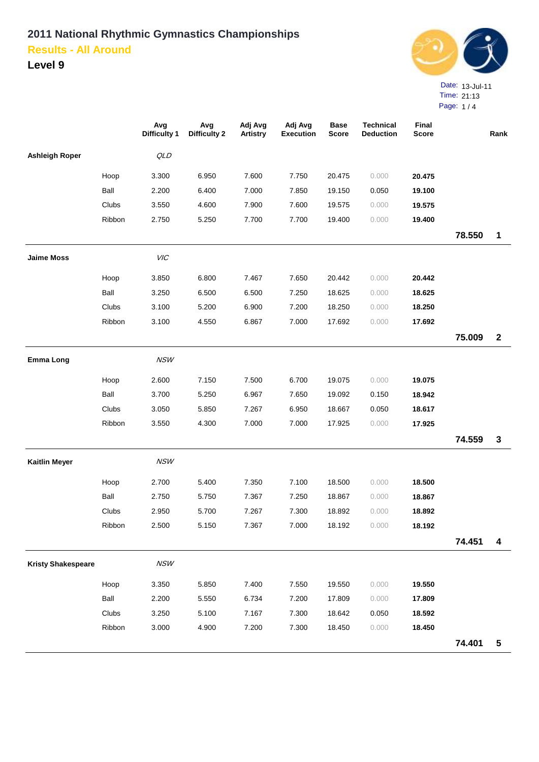

|             | TIME. 21:13 |
|-------------|-------------|
| Page: $1/4$ |             |

|                           |        | Avg<br><b>Difficulty 1</b> | Avg<br><b>Difficulty 2</b> | Adj Avg<br><b>Artistry</b> | Adj Avg<br><b>Execution</b> | <b>Base</b><br><b>Score</b> | <b>Technical</b><br><b>Deduction</b> | Final<br><b>Score</b> |        | Rank                    |
|---------------------------|--------|----------------------------|----------------------------|----------------------------|-----------------------------|-----------------------------|--------------------------------------|-----------------------|--------|-------------------------|
| <b>Ashleigh Roper</b>     |        | QLD                        |                            |                            |                             |                             |                                      |                       |        |                         |
|                           | Hoop   | 3.300                      | 6.950                      | 7.600                      | 7.750                       | 20.475                      | 0.000                                | 20.475                |        |                         |
|                           | Ball   | 2.200                      | 6.400                      | 7.000                      | 7.850                       | 19.150                      | 0.050                                | 19.100                |        |                         |
|                           | Clubs  | 3.550                      | 4.600                      | 7.900                      | 7.600                       | 19.575                      | 0.000                                | 19.575                |        |                         |
|                           | Ribbon | 2.750                      | 5.250                      | 7.700                      | 7.700                       | 19.400                      | 0.000                                | 19.400                |        |                         |
|                           |        |                            |                            |                            |                             |                             |                                      |                       | 78.550 | 1                       |
| <b>Jaime Moss</b>         |        | VIC                        |                            |                            |                             |                             |                                      |                       |        |                         |
|                           | Hoop   | 3.850                      | 6.800                      | 7.467                      | 7.650                       | 20.442                      | 0.000                                | 20.442                |        |                         |
|                           | Ball   | 3.250                      | 6.500                      | 6.500                      | 7.250                       | 18.625                      | 0.000                                | 18.625                |        |                         |
|                           | Clubs  | 3.100                      | 5.200                      | 6.900                      | 7.200                       | 18.250                      | 0.000                                | 18.250                |        |                         |
|                           | Ribbon | 3.100                      | 4.550                      | 6.867                      | 7.000                       | 17.692                      | 0.000                                | 17.692                |        |                         |
|                           |        |                            |                            |                            |                             |                             |                                      |                       | 75.009 | $\boldsymbol{2}$        |
| <b>Emma Long</b>          |        | NSW                        |                            |                            |                             |                             |                                      |                       |        |                         |
|                           | Hoop   | 2.600                      | 7.150                      | 7.500                      | 6.700                       | 19.075                      | 0.000                                | 19.075                |        |                         |
|                           | Ball   | 3.700                      | 5.250                      | 6.967                      | 7.650                       | 19.092                      | 0.150                                | 18.942                |        |                         |
|                           | Clubs  | 3.050                      | 5.850                      | 7.267                      | 6.950                       | 18.667                      | 0.050                                | 18.617                |        |                         |
|                           | Ribbon | 3.550                      | 4.300                      | 7.000                      | 7.000                       | 17.925                      | 0.000                                | 17.925                |        |                         |
|                           |        |                            |                            |                            |                             |                             |                                      |                       | 74.559 | $\mathbf{3}$            |
| <b>Kaitlin Meyer</b>      |        | NSW                        |                            |                            |                             |                             |                                      |                       |        |                         |
|                           | Hoop   | 2.700                      | 5.400                      | 7.350                      | 7.100                       | 18.500                      | 0.000                                | 18.500                |        |                         |
|                           | Ball   | 2.750                      | 5.750                      | 7.367                      | 7.250                       | 18.867                      | 0.000                                | 18.867                |        |                         |
|                           | Clubs  | 2.950                      | 5.700                      | 7.267                      | 7.300                       | 18.892                      | 0.000                                | 18.892                |        |                         |
|                           | Ribbon | 2.500                      | 5.150                      | 7.367                      | 7.000                       | 18.192                      | 0.000                                | 18.192                |        |                         |
|                           |        |                            |                            |                            |                             |                             |                                      |                       | 74.451 | 4                       |
| <b>Kristy Shakespeare</b> |        | <b>NSW</b>                 |                            |                            |                             |                             |                                      |                       |        |                         |
|                           | Hoop   | 3.350                      | 5.850                      | 7.400                      | 7.550                       | 19.550                      | 0.000                                | 19.550                |        |                         |
|                           | Ball   | 2.200                      | 5.550                      | 6.734                      | 7.200                       | 17.809                      | 0.000                                | 17.809                |        |                         |
|                           | Clubs  | 3.250                      | 5.100                      | 7.167                      | 7.300                       | 18.642                      | 0.050                                | 18.592                |        |                         |
|                           | Ribbon | 3.000                      | 4.900                      | 7.200                      | 7.300                       | 18.450                      | 0.000                                | 18.450                |        |                         |
|                           |        |                            |                            |                            |                             |                             |                                      |                       | 74.401 | $\overline{\mathbf{5}}$ |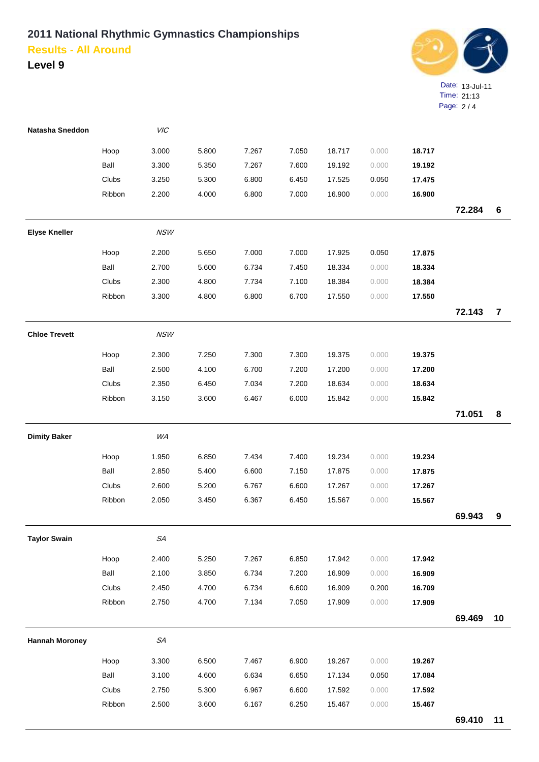

| Natasha Sneddon       |        | <b>VIC</b>  |       |       |       |        |       |        |        |                |
|-----------------------|--------|-------------|-------|-------|-------|--------|-------|--------|--------|----------------|
|                       | Hoop   | 3.000       | 5.800 | 7.267 | 7.050 | 18.717 | 0.000 | 18.717 |        |                |
|                       | Ball   | 3.300       | 5.350 | 7.267 | 7.600 | 19.192 | 0.000 | 19.192 |        |                |
|                       | Clubs  | 3.250       | 5.300 | 6.800 | 6.450 | 17.525 | 0.050 | 17.475 |        |                |
|                       | Ribbon | 2.200       | 4.000 | 6.800 | 7.000 | 16.900 | 0.000 | 16.900 |        |                |
|                       |        |             |       |       |       |        |       |        | 72.284 | $\bf 6$        |
| <b>Elyse Kneller</b>  |        | <b>NSW</b>  |       |       |       |        |       |        |        |                |
|                       | Hoop   | 2.200       | 5.650 | 7.000 | 7.000 | 17.925 | 0.050 | 17.875 |        |                |
|                       | Ball   | 2.700       | 5.600 | 6.734 | 7.450 | 18.334 | 0.000 | 18.334 |        |                |
|                       | Clubs  | 2.300       | 4.800 | 7.734 | 7.100 | 18.384 | 0.000 | 18.384 |        |                |
|                       | Ribbon | 3.300       | 4.800 | 6.800 | 6.700 | 17.550 | 0.000 | 17.550 |        |                |
|                       |        |             |       |       |       |        |       |        | 72.143 | $\overline{7}$ |
| <b>Chloe Trevett</b>  |        | <b>NSW</b>  |       |       |       |        |       |        |        |                |
|                       | Hoop   | 2.300       | 7.250 | 7.300 | 7.300 | 19.375 | 0.000 | 19.375 |        |                |
|                       | Ball   | 2.500       | 4.100 | 6.700 | 7.200 | 17.200 | 0.000 | 17.200 |        |                |
|                       | Clubs  | 2.350       | 6.450 | 7.034 | 7.200 | 18.634 | 0.000 | 18.634 |        |                |
|                       | Ribbon | 3.150       | 3.600 | 6.467 | 6.000 | 15.842 | 0.000 | 15.842 |        |                |
|                       |        |             |       |       |       |        |       |        | 71.051 | 8              |
| <b>Dimity Baker</b>   |        | WA          |       |       |       |        |       |        |        |                |
|                       | Hoop   | 1.950       | 6.850 | 7.434 | 7.400 | 19.234 | 0.000 | 19.234 |        |                |
|                       | Ball   | 2.850       | 5.400 | 6.600 | 7.150 | 17.875 | 0.000 | 17.875 |        |                |
|                       | Clubs  | 2.600       | 5.200 | 6.767 | 6.600 | 17.267 | 0.000 | 17.267 |        |                |
|                       | Ribbon | 2.050       | 3.450 | 6.367 | 6.450 | 15.567 | 0.000 | 15.567 |        |                |
|                       |        |             |       |       |       |        |       |        | 69.943 | 9              |
| <b>Taylor Swain</b>   |        | ${\cal SA}$ |       |       |       |        |       |        |        |                |
|                       | Hoop   | 2.400       | 5.250 | 7.267 | 6.850 | 17.942 | 0.000 | 17.942 |        |                |
|                       | Ball   | 2.100       | 3.850 | 6.734 | 7.200 | 16.909 | 0.000 | 16.909 |        |                |
|                       | Clubs  | 2.450       | 4.700 | 6.734 | 6.600 | 16.909 | 0.200 | 16.709 |        |                |
|                       | Ribbon | 2.750       | 4.700 | 7.134 | 7.050 | 17.909 | 0.000 | 17.909 |        |                |
|                       |        |             |       |       |       |        |       |        | 69.469 | 10             |
| <b>Hannah Moroney</b> |        | ${\cal SA}$ |       |       |       |        |       |        |        |                |
|                       | Hoop   | 3.300       | 6.500 | 7.467 | 6.900 | 19.267 | 0.000 | 19.267 |        |                |
|                       | Ball   | 3.100       | 4.600 | 6.634 | 6.650 | 17.134 | 0.050 | 17.084 |        |                |
|                       | Clubs  | 2.750       | 5.300 | 6.967 | 6.600 | 17.592 | 0.000 | 17.592 |        |                |
|                       | Ribbon | 2.500       | 3.600 | 6.167 | 6.250 | 15.467 | 0.000 | 15.467 |        |                |
|                       |        |             |       |       |       |        |       |        | 69.410 | 11             |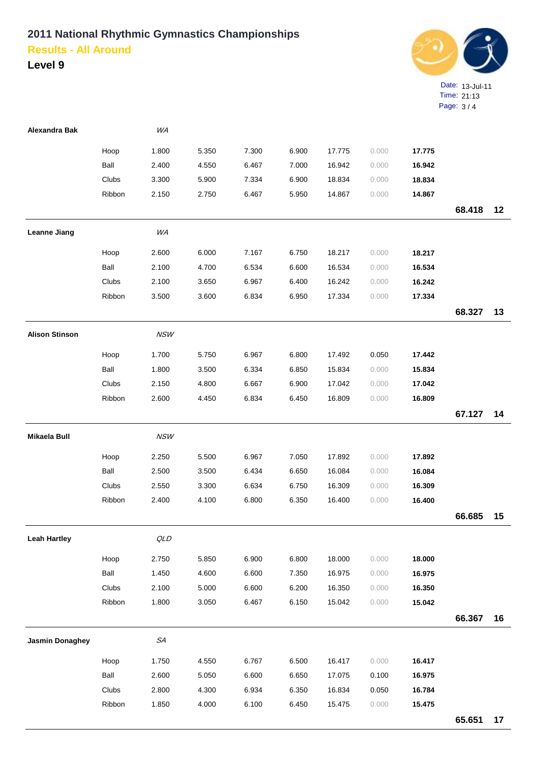

| <b>Alexandra Bak</b>   |        | WA         |       |       |       |        |       |        |        |    |
|------------------------|--------|------------|-------|-------|-------|--------|-------|--------|--------|----|
|                        | Hoop   | 1.800      | 5.350 | 7.300 | 6.900 | 17.775 | 0.000 | 17.775 |        |    |
|                        | Ball   | 2.400      | 4.550 | 6.467 | 7.000 | 16.942 | 0.000 | 16.942 |        |    |
|                        | Clubs  | 3.300      | 5.900 | 7.334 | 6.900 | 18.834 | 0.000 | 18.834 |        |    |
|                        | Ribbon | 2.150      | 2.750 | 6.467 | 5.950 | 14.867 | 0.000 | 14.867 |        |    |
|                        |        |            |       |       |       |        |       |        | 68.418 | 12 |
| <b>Leanne Jiang</b>    |        | WA         |       |       |       |        |       |        |        |    |
|                        | Hoop   | 2.600      | 6.000 | 7.167 | 6.750 | 18.217 | 0.000 | 18.217 |        |    |
|                        | Ball   | 2.100      | 4.700 | 6.534 | 6.600 | 16.534 | 0.000 | 16.534 |        |    |
|                        | Clubs  | 2.100      | 3.650 | 6.967 | 6.400 | 16.242 | 0.000 | 16.242 |        |    |
|                        | Ribbon | 3.500      | 3.600 | 6.834 | 6.950 | 17.334 | 0.000 | 17.334 |        |    |
|                        |        |            |       |       |       |        |       |        | 68.327 | 13 |
| <b>Alison Stinson</b>  |        | <b>NSW</b> |       |       |       |        |       |        |        |    |
|                        | Hoop   | 1.700      | 5.750 | 6.967 | 6.800 | 17.492 | 0.050 | 17.442 |        |    |
|                        | Ball   | 1.800      | 3.500 | 6.334 | 6.850 | 15.834 | 0.000 | 15.834 |        |    |
|                        | Clubs  | 2.150      | 4.800 | 6.667 | 6.900 | 17.042 | 0.000 | 17.042 |        |    |
|                        | Ribbon | 2.600      | 4.450 | 6.834 | 6.450 | 16.809 | 0.000 | 16.809 |        |    |
|                        |        |            |       |       |       |        |       |        | 67.127 | 14 |
| Mikaela Bull           |        | <b>NSW</b> |       |       |       |        |       |        |        |    |
|                        | Hoop   | 2.250      | 5.500 | 6.967 | 7.050 | 17.892 | 0.000 | 17.892 |        |    |
|                        | Ball   | 2.500      | 3.500 | 6.434 | 6.650 | 16.084 | 0.000 | 16.084 |        |    |
|                        | Clubs  | 2.550      | 3.300 | 6.634 | 6.750 | 16.309 | 0.000 | 16.309 |        |    |
|                        | Ribbon | 2.400      | 4.100 | 6.800 | 6.350 | 16.400 | 0.000 | 16.400 |        |    |
|                        |        |            |       |       |       |        |       |        | 66.685 | 15 |
| <b>Leah Hartley</b>    |        | QLD        |       |       |       |        |       |        |        |    |
|                        | Hoop   | 2.750      | 5.850 | 6.900 | 6.800 | 18.000 | 0.000 | 18.000 |        |    |
|                        | Ball   | 1.450      | 4.600 | 6.600 | 7.350 | 16.975 | 0.000 | 16.975 |        |    |
|                        | Clubs  | 2.100      | 5.000 | 6.600 | 6.200 | 16.350 | 0.000 | 16.350 |        |    |
|                        | Ribbon | 1.800      | 3.050 | 6.467 | 6.150 | 15.042 | 0.000 | 15.042 |        |    |
|                        |        |            |       |       |       |        |       |        | 66.367 | 16 |
| <b>Jasmin Donaghey</b> |        | SA         |       |       |       |        |       |        |        |    |
|                        | Hoop   | 1.750      | 4.550 | 6.767 | 6.500 | 16.417 | 0.000 | 16.417 |        |    |
|                        | Ball   | 2.600      | 5.050 | 6.600 | 6.650 | 17.075 | 0.100 | 16.975 |        |    |
|                        | Clubs  | 2.800      | 4.300 | 6.934 | 6.350 | 16.834 | 0.050 | 16.784 |        |    |
|                        | Ribbon | 1.850      | 4.000 | 6.100 | 6.450 | 15.475 | 0.000 | 15.475 |        |    |
|                        |        |            |       |       |       |        |       |        | 65.651 | 17 |